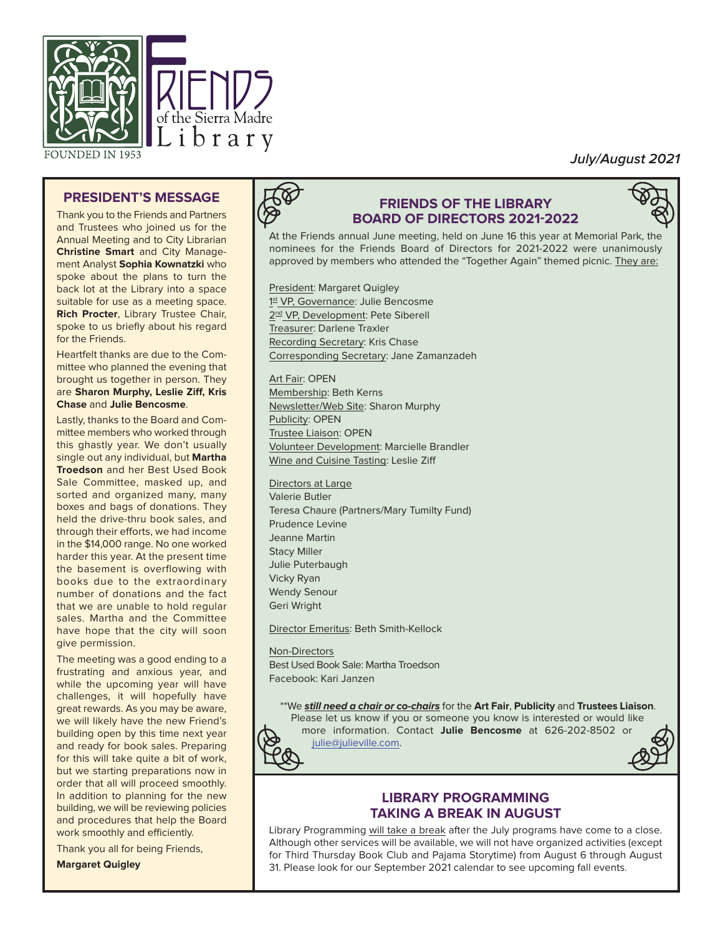

**FOUNDED IN 1953** 

# **July/August 2021**

### **PRESIDENT'S MESSAGE**

Thank you to the Friends and Partners and Trustees who joined us for the Annual Meeting and to City Librarian **Christine Smart** and City Management Analyst **Sophia Kownatzki** who spoke about the plans to turn the back lot at the Library into a space suitable for use as a meeting space. **Rich Procter**, Library Trustee Chair, spoke to us briefly about his regard for the Friends.

Heartfelt thanks are due to the Committee who planned the evening that brought us together in person. They are **Sharon Murphy, Leslie Ziff, Kris Chase** and **Julie Bencosme**.

Lastly, thanks to the Board and Committee members who worked through this ghastly year. We don't usually single out any individual, but **Martha Troedson** and her Best Used Book Sale Committee, masked up, and sorted and organized many, many boxes and bags of donations. They held the drive-thru book sales, and through their efforts, we had income in the \$14,000 range. No one worked harder this year. At the present time the basement is overflowing with books due to the extraordinary num ber of donations and the fact that we are unable to hold regular sales. Martha and the Committee have hope that the city will soon give permission.

The meeting was a good ending to a frustrating and anxious year, and while the upcoming year will have challenges, it will hopefully have great rewards. As you may be aware, we will likely have the new Friend's building open by this time next year and ready for book sales. Preparing for this will take quite a bit of work, but we starting preparations now in order that all will proceed smoothly. In addition to planning for the new building, we will be reviewing policies and procedures that help the Board work smoothly and efficiently.

Thank you all for being Friends,

**Margaret Quigley**

# **FRIENDS OF THE LIBRARY BOARD OF DIRECTORS 2021-2022**



At the Friends annual June meeting, held on June 16 this year at Memorial Park, the nominees for the Friends Board of Directors for 2021-2022 were unanimously approved by members who attended the "Together Again" themed picnic. They are:

President: Margaret Quigley 1st VP, Governance: Julie Bencosme 2nd VP, Development: Pete Siberell Treasurer: Darlene Traxler Recording Secretary: Kris Chase Corresponding Secretary: Jane Zamanzadeh

Art Fair: OPEN Membership: Beth Kerns Newsletter/Web Site: Sharon Murphy Publicity: OPEN Trustee Liaison: OPEN Volunteer Development: Marcielle Brandler Wine and Cuisine Tasting: Leslie Ziff

Directors at Large

Valerie Butler Teresa Chaure (Partners/Mary Tumilty Fund) Prudence Levine Jeanne Martin Stacy Miller Julie Puterbaugh Vicky Ryan Wendy Senour Geri Wright

Director Emeritus: Beth Smith-Kellock

Non-Directors Best Used Book Sale: Martha Troedson Facebook: Kari Janzen

\*\*We **still need a chair or co-chairs** for the **Art Fair**, **Publicity** and **Trustees Liaison**.

Please let us know if you or someone you know is interested or would like more information. Contact **Julie Bencosme** at 626-202-8502 or



julie@julieville.com.



# **LIBRARY PROGRAMMING TAKING A BREAK IN AUGUST**

Library Programming will take a break after the July programs have come to a close. Although other services will be available, we will not have organized activities (except for Third Thursday Book Club and Pajama Storytime) from August 6 through August 31. Please look for our September 2021 calendar to see upcoming fall events.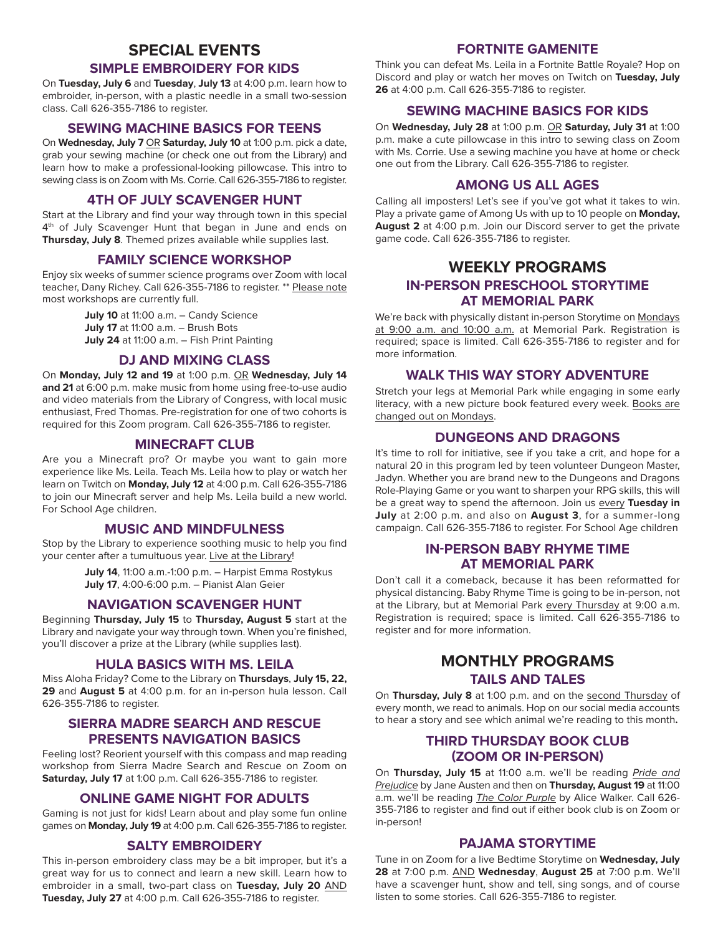# **SPECIAL EVENTS**

#### **SIMPLE EMBROIDERY FOR KIDS**

On **Tuesday, July 6** and **Tuesday**, **July 13** at 4:00 p.m. learn how to embroider, in-person, with a plastic needle in a small two-session class. Call 626-355-7186 to register.

#### **SEWING MACHINE BASICS FOR TEENS**

On **Wednesday, July 7** OR **Saturday, July 10** at 1:00 p.m. pick a date, grab your sewing machine (or check one out from the Library) and learn how to make a professional-looking pillowcase. This intro to sewing class is on Zoom with Ms. Corrie. Call 626-355-7186 to register.

#### **4TH OF JULY SCAVENGER HUNT**

Start at the Library and find your way through town in this special 4<sup>th</sup> of July Scavenger Hunt that began in June and ends on **Thursday, July 8**. Themed prizes available while supplies last.

#### **FAMILY SCIENCE WORKSHOP**

Enjoy six weeks of summer science programs over Zoom with local teacher, Dany Richey. Call 626-355-7186 to register. \*\* Please note most workshops are currently full.

> **July 10** at 11:00 a.m. – Candy Science **July 17** at 11:00 a.m. – Brush Bots **July 24** at 11:00 a.m. – Fish Print Painting

#### **DJ AND MIXING CLASS**

On **Monday, July 12 and 19** at 1:00 p.m. OR **Wednesday, July 14 and 21** at 6:00 p.m. make music from home using free-to-use audio and video materials from the Library of Congress, with local music enthusiast, Fred Thomas. Pre-registration for one of two cohorts is required for this Zoom program. Call 626-355-7186 to register.

#### **MINECRAFT CLUB**

Are you a Minecraft pro? Or maybe you want to gain more experience like Ms. Leila. Teach Ms. Leila how to play or watch her learn on Twitch on **Monday, July 12** at 4:00 p.m. Call 626-355-7186 to join our Minecraft server and help Ms. Leila build a new world. For School Age children.

#### **MUSIC AND MINDFULNESS**

Stop by the Library to experience soothing music to help you find your center after a tumultuous year. Live at the Library!

> **July 14**, 11:00 a.m.-1:00 p.m. – Harpist Emma Rostykus **July 17**, 4:00-6:00 p.m. – Pianist Alan Geier

#### **NAVIGATION SCAVENGER HUNT**

Beginning **Thursday, July 15** to **Thursday, August 5** start at the Library and navigate your way through town. When you're finished, you'll discover a prize at the Library (while supplies last).

#### **HULA BASICS WITH MS. LEILA**

Miss Aloha Friday? Come to the Library on **Thursdays**, **July 15, 22, 29** and **August 5** at 4:00 p.m. for an in-person hula lesson. Call 626-355-7186 to register.

#### **SIERRA MADRE SEARCH AND RESCUE PRESENTS NAVIGATION BASICS**

Feeling lost? Reorient yourself with this compass and map reading workshop from Sierra Madre Search and Rescue on Zoom on **Saturday, July 17** at 1:00 p.m. Call 626-355-7186 to register.

#### **ONLINE GAME NIGHT FOR ADULTS**

Gaming is not just for kids! Learn about and play some fun online games on **Monday, July 19** at 4:00 p.m. Call 626-355-7186 to register.

#### **SALTY EMBROIDERY**

This in-person embroidery class may be a bit improper, but it's a great way for us to connect and learn a new skill. Learn how to embroider in a small, two-part class on **Tuesday, July 20** AND **Tuesday, July 27** at 4:00 p.m. Call 626-355-7186 to register.

# **FORTNITE GAMENITE**

Think you can defeat Ms. Leila in a Fortnite Battle Royale? Hop on Discord and play or watch her moves on Twitch on **Tuesday, July 26** at 4:00 p.m. Call 626-355-7186 to register.

#### **SEWING MACHINE BASICS FOR KIDS**

On **Wednesday, July 28** at 1:00 p.m. OR **Saturday, July 31** at 1:00 p.m. make a cute pillowcase in this intro to sewing class on Zoom with Ms. Corrie. Use a sewing machine you have at home or check one out from the Library. Call 626-355-7186 to register.

#### **AMONG US ALL AGES**

Calling all imposters! Let's see if you've got what it takes to win. Play a private game of Among Us with up to 10 people on **Monday, August 2** at 4:00 p.m. Join our Discord server to get the private game code. Call 626-355-7186 to register.

# **WEEKLY PROGRAMS IN-PERSON PRESCHOOL STORYTIME AT MEMORIAL PARK**

We're back with physically distant in-person Storytime on Mondays at 9:00 a.m. and 10:00 a.m. at Memorial Park. Registration is required; space is limited. Call 626-355-7186 to register and for more information.

#### **WALK THIS WAY STORY ADVENTURE**

Stretch your legs at Memorial Park while engaging in some early literacy, with a new picture book featured every week. Books are changed out on Mondays.

#### **DUNGEONS AND DRAGONS**

It's time to roll for initiative, see if you take a crit, and hope for a natural 20 in this program led by teen volunteer Dungeon Master, Jadyn. Whether you are brand new to the Dungeons and Dragons Role-Playing Game or you want to sharpen your RPG skills, this will be a great way to spend the afternoon. Join us every **Tuesday in July** at 2:00 p.m. and also on **August 3**, for a summer-long campaign. Call 626-355-7186 to register. For School Age children

## **IN-PERSON BABY RHYME TIME AT MEMORIAL PARK**

Don't call it a comeback, because it has been reformatted for physical distancing. Baby Rhyme Time is going to be in-person, not at the Library, but at Memorial Park every Thursday at 9:00 a.m. Registration is required; space is limited. Call 626-355-7186 to register and for more information.

# **MONTHLY PROGRAMS TAILS AND TALES**

On **Thursday, July 8** at 1:00 p.m. and on the second Thursday of every month, we read to animals. Hop on our social media accounts to hear a story and see which animal we're reading to this month**.**

#### **THIRD THURSDAY BOOK CLUB (ZOOM OR IN-PERSON)**

On **Thursday, July 15** at 11:00 a.m. we'll be reading Pride and Prejudice by Jane Austen and then on **Thursday, August 19** at 11:00 a.m. we'll be reading The Color Purple by Alice Walker. Call 626- 355-7186 to register and find out if either book club is on Zoom or in-person!

#### **PAJAMA STORYTIME**

Tune in on Zoom for a live Bedtime Storytime on **Wednesday, July 28** at 7:00 p.m. AND **Wednesday**, **August 25** at 7:00 p.m. We'll have a scavenger hunt, show and tell, sing songs, and of course listen to some stories. Call 626-355-7186 to register.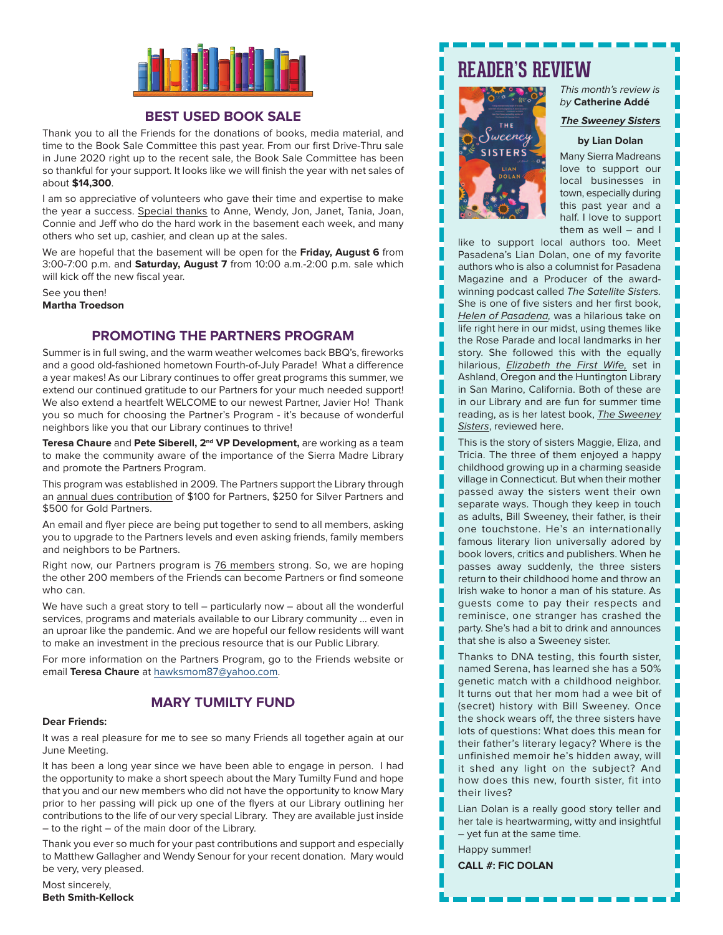

### **BEST USED BOOK SALE**

Thank you to all the Friends for the donations of books, media material, and time to the Book Sale Committee this past year. From our first Drive-Thru sale in June 2020 right up to the recent sale, the Book Sale Committee has been so thankful for your support. It looks like we will finish the year with net sales of about **\$14,300**.

I am so appreciative of volunteers who gave their time and expertise to make the year a success. Special thanks to Anne, Wendy, Jon, Janet, Tania, Joan, Connie and Jeff who do the hard work in the basement each week, and many others who set up, cashier, and clean up at the sales.

We are hopeful that the basement will be open for the **Friday, August 6** from 3:00-7:00 p.m. and **Saturday, August 7** from 10:00 a.m.-2:00 p.m. sale which will kick off the new fiscal year.

See you then! **Martha Troedson**

#### **PROMOTING THE PARTNERS PROGRAM**

Summer is in full swing, and the warm weather welcomes back BBQ's, fireworks and a good old-fashioned hometown Fourth-of-July Parade! What a difference a year makes! As our Library continues to offer great programs this summer, we extend our continued gratitude to our Partners for your much needed support! We also extend a heartfelt WELCOME to our newest Partner, Javier Ho! Thank you so much for choosing the Partner's Program - it's because of wonderful neighbors like you that our Library continues to thrive!

**Teresa Chaure** and **Pete Siberell, 2nd VP Development,** are working as a team to make the community aware of the importance of the Sierra Madre Library and promote the Partners Program.

This program was established in 2009. The Partners support the Library through an annual dues contribution of \$100 for Partners, \$250 for Silver Partners and \$500 for Gold Partners.

An email and flyer piece are being put together to send to all members, asking you to upgrade to the Partners levels and even asking friends, family members and neighbors to be Partners.

Right now, our Partners program is 76 members strong. So, we are hoping the other 200 members of the Friends can become Partners or find someone who can.

We have such a great story to tell – particularly now – about all the wonderful services, programs and materials available to our Library community … even in an uproar like the pandemic. And we are hopeful our fellow residents will want to make an investment in the precious resource that is our Public Library.

For more information on the Partners Program, go to the Friends website or email **Teresa Chaure** at hawksmom87@yahoo.com.

# **MARY TUMILTY FUND**

#### **Dear Friends:**

It was a real pleasure for me to see so many Friends all together again at our June Meeting.

It has been a long year since we have been able to engage in person. I had the opportunity to make a short speech about the Mary Tumilty Fund and hope that you and our new members who did not have the opportunity to know Mary prior to her passing will pick up one of the flyers at our Library outlining her contributions to the life of our very special Library. They are available just inside – to the right – of the main door of the Library.

Thank you ever so much for your past contributions and support and especially to Matthew Gallagher and Wendy Senour for your recent donation. Mary would be very, very pleased.

Most sincerely, **Beth Smith-Kellock**

# **READER'S REVIEW**



#### This month's review is by **Catherine Addé**

#### **The Sweeney Sisters**

#### **by Lian Dolan**

Many Sierra Madreans love to support our local businesses in town, especially during this past year and a half. I love to support them as well – and I

like to support local authors too. Meet Pasadena's Lian Dolan, one of my favorite authors who is also a columnist for Pasadena Magazine and a Producer of the awardwinning podcast called The Satellite Sisters. She is one of five sisters and her first book, Helen of Pasadena, was a hilarious take on life right here in our midst, using themes like the Rose Parade and local landmarks in her story. She followed this with the equally hilarious, *Elizabeth the First Wife*, set in Ashland, Oregon and the Huntington Library in San Marino, California. Both of these are in our Library and are fun for summer time reading, as is her latest book, The Sweeney Sisters, reviewed here.

This is the story of sisters Maggie, Eliza, and Tricia. The three of them enjoyed a happy childhood growing up in a charming seaside village in Connecticut. But when their mother passed away the sisters went their own separate ways. Though they keep in touch as adults, Bill Sweeney, their father, is their one touchstone. He's an internationally famous literary lion universally adored by book lovers, critics and publishers. When he passes away suddenly, the three sisters return to their childhood home and throw an Irish wake to honor a man of his stature. As guests come to pay their respects and reminisce, one stranger has crashed the party. She's had a bit to drink and announces that she is also a Sweeney sister.

Thanks to DNA testing, this fourth sister, named Serena, has learned she has a 50% genetic match with a childhood neighbor. It turns out that her mom had a wee bit of (secret) history with Bill Sweeney. Once the shock wears off, the three sisters have lots of questions: What does this mean for their father's literary legacy? Where is the unfinished memoir he's hidden away, will it shed any light on the subject? And how does this new, fourth sister, fit into their lives?

Lian Dolan is a really good story teller and her tale is heartwarming, witty and insightful – yet fun at the same time.

Happy summer! **CALL #: FIC DOLAN**